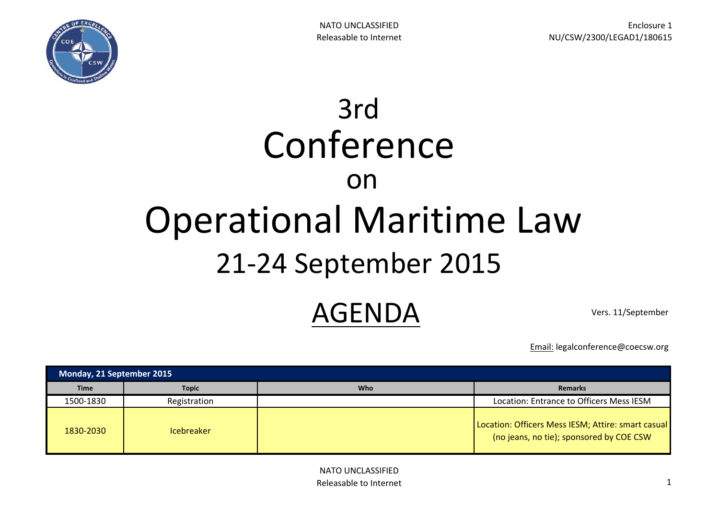

## 3rd Operational Maritime Law Conference on 21-24 September 2015

## AGENDA Vers. 11/September

Email: legalconference@coecsw.org

| Monday, 21 September 2015 |                   |            |                                                                                                |
|---------------------------|-------------------|------------|------------------------------------------------------------------------------------------------|
| <b>Time</b>               | <b>Topic</b>      | <b>Who</b> | <b>Remarks</b>                                                                                 |
| 1500-1830                 | Registration      |            | Location: Entrance to Officers Mess IESM                                                       |
| 1830-2030                 | <b>Icebreaker</b> |            | Location: Officers Mess IESM; Attire: smart casual<br>(no jeans, no tie); sponsored by COE CSW |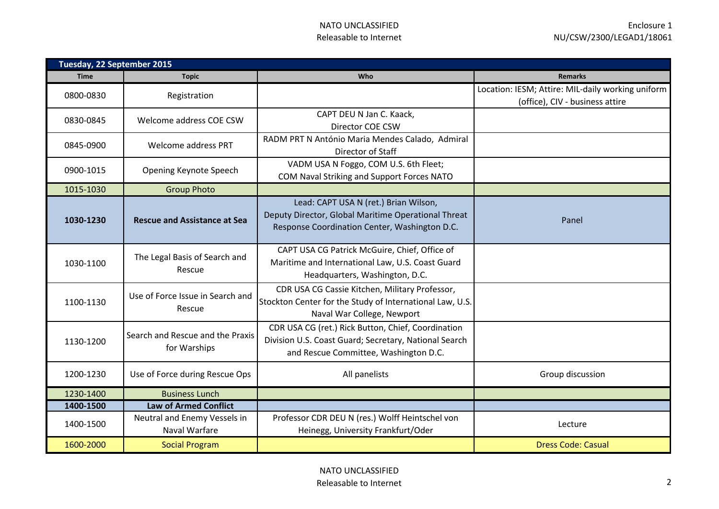| Tuesday, 22 September 2015 |                                                  |                                                                                                                                                      |                                                                                      |
|----------------------------|--------------------------------------------------|------------------------------------------------------------------------------------------------------------------------------------------------------|--------------------------------------------------------------------------------------|
| <b>Time</b>                | <b>Topic</b>                                     | <b>Who</b>                                                                                                                                           | <b>Remarks</b>                                                                       |
| 0800-0830                  | Registration                                     |                                                                                                                                                      | Location: IESM; Attire: MIL-daily working uniform<br>(office), CIV - business attire |
| 0830-0845                  | Welcome address COE CSW                          | CAPT DEU N Jan C. Kaack,<br>Director COE CSW                                                                                                         |                                                                                      |
| 0845-0900                  | Welcome address PRT                              | RADM PRT N António Maria Mendes Calado, Admiral<br>Director of Staff                                                                                 |                                                                                      |
| 0900-1015                  | Opening Keynote Speech                           | VADM USA N Foggo, COM U.S. 6th Fleet;<br>COM Naval Striking and Support Forces NATO                                                                  |                                                                                      |
| 1015-1030                  | <b>Group Photo</b>                               |                                                                                                                                                      |                                                                                      |
| 1030-1230                  | <b>Rescue and Assistance at Sea</b>              | Lead: CAPT USA N (ret.) Brian Wilson,<br>Deputy Director, Global Maritime Operational Threat<br>Response Coordination Center, Washington D.C.        | Panel                                                                                |
| 1030-1100                  | The Legal Basis of Search and<br>Rescue          | CAPT USA CG Patrick McGuire, Chief, Office of<br>Maritime and International Law, U.S. Coast Guard<br>Headquarters, Washington, D.C.                  |                                                                                      |
| 1100-1130                  | Use of Force Issue in Search and<br>Rescue       | CDR USA CG Cassie Kitchen, Military Professor,<br>Stockton Center for the Study of International Law, U.S.<br>Naval War College, Newport             |                                                                                      |
| 1130-1200                  | Search and Rescue and the Praxis<br>for Warships | CDR USA CG (ret.) Rick Button, Chief, Coordination<br>Division U.S. Coast Guard; Secretary, National Search<br>and Rescue Committee, Washington D.C. |                                                                                      |
| 1200-1230                  | Use of Force during Rescue Ops                   | All panelists                                                                                                                                        | Group discussion                                                                     |
| 1230-1400                  | <b>Business Lunch</b>                            |                                                                                                                                                      |                                                                                      |
| 1400-1500                  | <b>Law of Armed Conflict</b>                     |                                                                                                                                                      |                                                                                      |
| 1400-1500                  | Neutral and Enemy Vessels in<br>Naval Warfare    | Professor CDR DEU N (res.) Wolff Heintschel von<br>Heinegg, University Frankfurt/Oder                                                                | Lecture                                                                              |
| 1600-2000                  | <b>Social Program</b>                            |                                                                                                                                                      | <b>Dress Code: Casual</b>                                                            |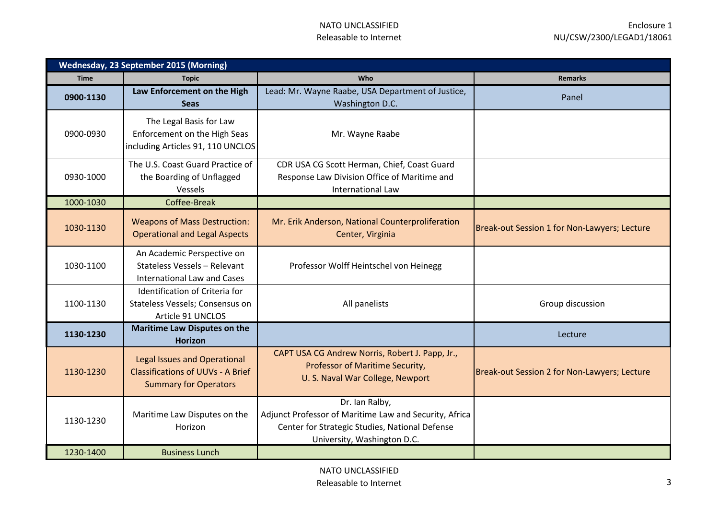| <b>Wednesday, 23 September 2015 (Morning)</b> |                                                                                                                 |                                                                                                                                                           |                                              |
|-----------------------------------------------|-----------------------------------------------------------------------------------------------------------------|-----------------------------------------------------------------------------------------------------------------------------------------------------------|----------------------------------------------|
| <b>Time</b>                                   | <b>Topic</b>                                                                                                    | <b>Who</b>                                                                                                                                                | <b>Remarks</b>                               |
| 0900-1130                                     | Law Enforcement on the High<br><b>Seas</b>                                                                      | Lead: Mr. Wayne Raabe, USA Department of Justice,<br>Washington D.C.                                                                                      | Panel                                        |
| 0900-0930                                     | The Legal Basis for Law<br>Enforcement on the High Seas<br>including Articles 91, 110 UNCLOS                    | Mr. Wayne Raabe                                                                                                                                           |                                              |
| 0930-1000                                     | The U.S. Coast Guard Practice of<br>the Boarding of Unflagged<br>Vessels                                        | CDR USA CG Scott Herman, Chief, Coast Guard<br>Response Law Division Office of Maritime and<br><b>International Law</b>                                   |                                              |
| 1000-1030                                     | Coffee-Break                                                                                                    |                                                                                                                                                           |                                              |
| 1030-1130                                     | <b>Weapons of Mass Destruction:</b><br><b>Operational and Legal Aspects</b>                                     | Mr. Erik Anderson, National Counterproliferation<br>Center, Virginia                                                                                      | Break-out Session 1 for Non-Lawyers; Lecture |
| 1030-1100                                     | An Academic Perspective on<br>Stateless Vessels - Relevant<br><b>International Law and Cases</b>                | Professor Wolff Heintschel von Heinegg                                                                                                                    |                                              |
| 1100-1130                                     | Identification of Criteria for<br>Stateless Vessels; Consensus on<br>Article 91 UNCLOS                          | All panelists                                                                                                                                             | Group discussion                             |
| 1130-1230                                     | <b>Maritime Law Disputes on the</b><br><b>Horizon</b>                                                           |                                                                                                                                                           | Lecture                                      |
| 1130-1230                                     | <b>Legal Issues and Operational</b><br><b>Classifications of UUVs - A Brief</b><br><b>Summary for Operators</b> | CAPT USA CG Andrew Norris, Robert J. Papp, Jr.,<br>Professor of Maritime Security,<br>U. S. Naval War College, Newport                                    | Break-out Session 2 for Non-Lawyers; Lecture |
| 1130-1230                                     | Maritime Law Disputes on the<br>Horizon                                                                         | Dr. Ian Ralby,<br>Adjunct Professor of Maritime Law and Security, Africa<br>Center for Strategic Studies, National Defense<br>University, Washington D.C. |                                              |
| 1230-1400                                     | <b>Business Lunch</b>                                                                                           |                                                                                                                                                           |                                              |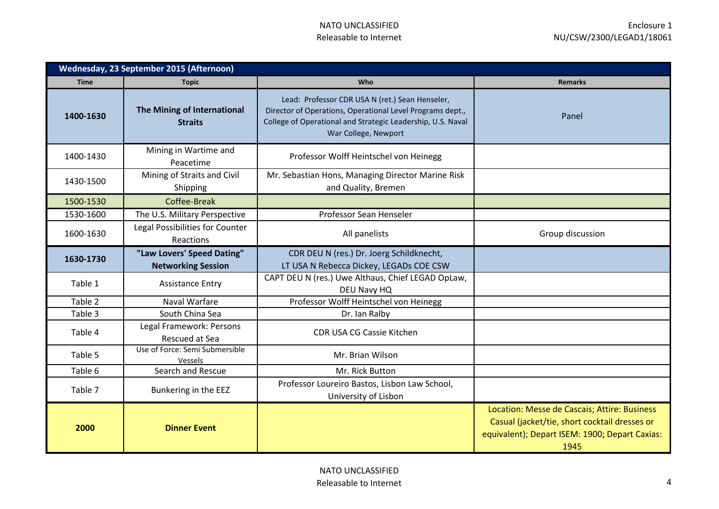| <b>Wednesday, 23 September 2015 (Afternoon)</b> |                                                         |                                                                                                                                                                                                     |                                                                                                                                                         |
|-------------------------------------------------|---------------------------------------------------------|-----------------------------------------------------------------------------------------------------------------------------------------------------------------------------------------------------|---------------------------------------------------------------------------------------------------------------------------------------------------------|
| <b>Time</b>                                     | <b>Topic</b>                                            | Who                                                                                                                                                                                                 | <b>Remarks</b>                                                                                                                                          |
| 1400-1630                                       | The Mining of International<br><b>Straits</b>           | Lead: Professor CDR USA N (ret.) Sean Henseler,<br>Director of Operations, Operational Level Programs dept.,<br>College of Operational and Strategic Leadership, U.S. Naval<br>War College, Newport | Panel                                                                                                                                                   |
| 1400-1430                                       | Mining in Wartime and<br>Peacetime                      | Professor Wolff Heintschel von Heinegg                                                                                                                                                              |                                                                                                                                                         |
| 1430-1500                                       | Mining of Straits and Civil<br>Shipping                 | Mr. Sebastian Hons, Managing Director Marine Risk<br>and Quality, Bremen                                                                                                                            |                                                                                                                                                         |
| 1500-1530                                       | Coffee-Break                                            |                                                                                                                                                                                                     |                                                                                                                                                         |
| 1530-1600                                       | The U.S. Military Perspective                           | Professor Sean Henseler                                                                                                                                                                             |                                                                                                                                                         |
| 1600-1630                                       | Legal Possibilities for Counter<br>Reactions            | All panelists                                                                                                                                                                                       | Group discussion                                                                                                                                        |
| 1630-1730                                       | "Law Lovers' Speed Dating"<br><b>Networking Session</b> | CDR DEU N (res.) Dr. Joerg Schildknecht,<br>LT USA N Rebecca Dickey, LEGADs COE CSW                                                                                                                 |                                                                                                                                                         |
| Table 1                                         | <b>Assistance Entry</b>                                 | CAPT DEU N (res.) Uwe Althaus, Chief LEGAD OpLaw,<br>DEU Navy HQ                                                                                                                                    |                                                                                                                                                         |
| Table 2                                         | <b>Naval Warfare</b>                                    | Professor Wolff Heintschel von Heinegg                                                                                                                                                              |                                                                                                                                                         |
| Table 3                                         | South China Sea                                         | Dr. Ian Ralby                                                                                                                                                                                       |                                                                                                                                                         |
| Table 4                                         | Legal Framework: Persons<br>Rescued at Sea              | CDR USA CG Cassie Kitchen                                                                                                                                                                           |                                                                                                                                                         |
| Table 5                                         | Use of Force: Semi Submersible<br>Vessels               | Mr. Brian Wilson                                                                                                                                                                                    |                                                                                                                                                         |
| Table 6                                         | Search and Rescue                                       | Mr. Rick Button                                                                                                                                                                                     |                                                                                                                                                         |
| Table 7                                         | Bunkering in the EEZ                                    | Professor Loureiro Bastos, Lisbon Law School,<br>University of Lisbon                                                                                                                               |                                                                                                                                                         |
| 2000                                            | <b>Dinner Event</b>                                     |                                                                                                                                                                                                     | Location: Messe de Cascais; Attire: Business<br>Casual (jacket/tie, short cocktail dresses or<br>equivalent); Depart ISEM: 1900; Depart Caxias:<br>1945 |